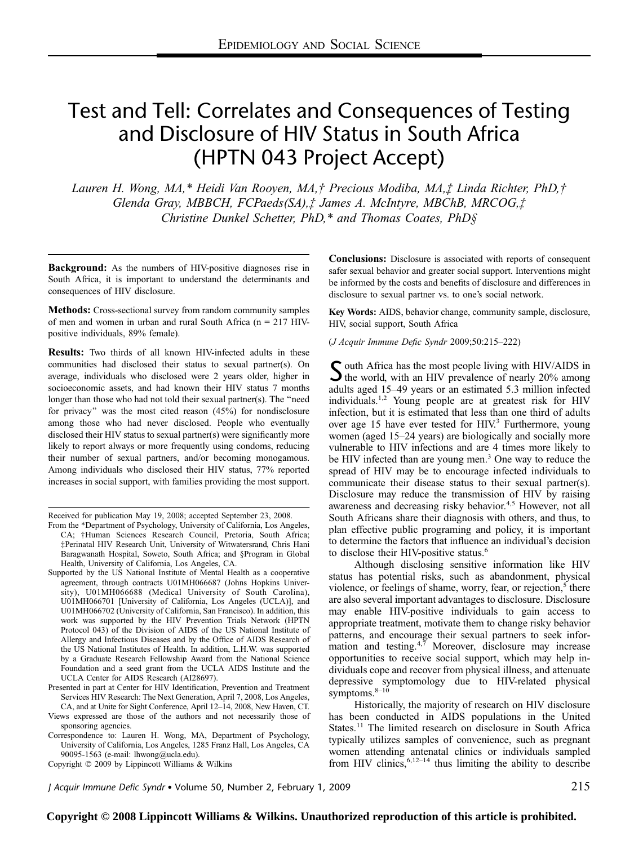# Test and Tell: Correlates and Consequences of Testing and Disclosure of HIV Status in South Africa (HPTN 043 Project Accept)

Lauren H. Wong, MA,\* Heidi Van Rooyen, MA,† Precious Modiba, MA,‡ Linda Richter, PhD,† Glenda Gray, MBBCH, FCPaeds(SA),‡ James A. McIntyre, MBChB, MRCOG,‡ Christine Dunkel Schetter, PhD,\* and Thomas Coates, PhD§

Background: As the numbers of HIV-positive diagnoses rise in South Africa, it is important to understand the determinants and consequences of HIV disclosure.

Methods: Cross-sectional survey from random community samples of men and women in urban and rural South Africa ( $n = 217$  HIVpositive individuals, 89% female).

Results: Two thirds of all known HIV-infected adults in these communities had disclosed their status to sexual partner(s). On average, individuals who disclosed were 2 years older, higher in socioeconomic assets, and had known their HIV status 7 months longer than those who had not told their sexual partner(s). The ''need for privacy'' was the most cited reason (45%) for nondisclosure among those who had never disclosed. People who eventually disclosed their HIV status to sexual partner(s) were significantly more likely to report always or more frequently using condoms, reducing their number of sexual partners, and/or becoming monogamous. Among individuals who disclosed their HIV status, 77% reported increases in social support, with families providing the most support.

Received for publication May 19, 2008; accepted September 23, 2008.

- From the \*Department of Psychology, University of California, Los Angeles, CA; †Human Sciences Research Council, Pretoria, South Africa; ‡Perinatal HIV Research Unit, University of Witwatersrand, Chris Hani Baragwanath Hospital, Soweto, South Africa; and §Program in Global Health, University of California, Los Angeles, CA.
- Supported by the US National Institute of Mental Health as a cooperative agreement, through contracts U01MH066687 (Johns Hopkins University), U01MH066688 (Medical University of South Carolina), U01MH066701 [University of California, Los Angeles (UCLA)], and U01MH066702 (University of California, San Francisco). In addition, this work was supported by the HIV Prevention Trials Network (HPTN Protocol 043) of the Division of AIDS of the US National Institute of Allergy and Infectious Diseases and by the Office of AIDS Research of the US National Institutes of Health. In addition, L.H.W. was supported by a Graduate Research Fellowship Award from the National Science Foundation and a seed grant from the UCLA AIDS Institute and the UCLA Center for AIDS Research (AI28697).
- Presented in part at Center for HIV Identification, Prevention and Treatment Services HIV Research: The Next Generation, April 7, 2008, Los Angeles, CA, and at Unite for Sight Conference, April 12–14, 2008, New Haven, CT.

Views expressed are those of the authors and not necessarily those of sponsoring agencies.

Correspondence to: Lauren H. Wong, MA, Department of Psychology, University of California, Los Angeles, 1285 Franz Hall, Los Angeles, CA 90095-1563 (e-mail: lhwong@ucla.edu).

Copyright  $©$  2009 by Lippincott Williams & Wilkins

Conclusions: Disclosure is associated with reports of consequent safer sexual behavior and greater social support. Interventions might be informed by the costs and benefits of disclosure and differences in disclosure to sexual partner vs. to one's social network.

Key Words: AIDS, behavior change, community sample, disclosure, HIV, social support, South Africa

(J Acquir Immune Defic Syndr 2009;50:215–222)

 $\sum$  outh Africa has the most people living with HIV/AIDS in<br>the world, with an HIV prevalence of nearly 20% among adults aged 15–49 years or an estimated 5.3 million infected individuals.1,2 Young people are at greatest risk for HIV infection, but it is estimated that less than one third of adults over age 15 have ever tested for HIV.<sup>3</sup> Furthermore, young women (aged 15–24 years) are biologically and socially more vulnerable to HIV infections and are 4 times more likely to be HIV infected than are young men.<sup>3</sup> One way to reduce the spread of HIV may be to encourage infected individuals to communicate their disease status to their sexual partner(s). Disclosure may reduce the transmission of HIV by raising awareness and decreasing risky behavior.<sup>4,5</sup> However, not all South Africans share their diagnosis with others, and thus, to plan effective public programing and policy, it is important to determine the factors that influence an individual's decision to disclose their HIV-positive status.<sup>6</sup>

Although disclosing sensitive information like HIV status has potential risks, such as abandonment, physical violence, or feelings of shame, worry, fear, or rejection, $5$  there are also several important advantages to disclosure. Disclosure may enable HIV-positive individuals to gain access to appropriate treatment, motivate them to change risky behavior patterns, and encourage their sexual partners to seek information and testing. $4,7$  Moreover, disclosure may increase opportunities to receive social support, which may help individuals cope and recover from physical illness, and attenuate depressive symptomology due to HIV-related physical symptoms. $8-10$ 

Historically, the majority of research on HIV disclosure has been conducted in AIDS populations in the United States.<sup>11</sup> The limited research on disclosure in South Africa typically utilizes samples of convenience, such as pregnant women attending antenatal clinics or individuals sampled from HIV clinics,  $6,12-14$  thus limiting the ability to describe

J Acquir Immune Defic Syndr Volume 50, Number 2, February 1, 2009 215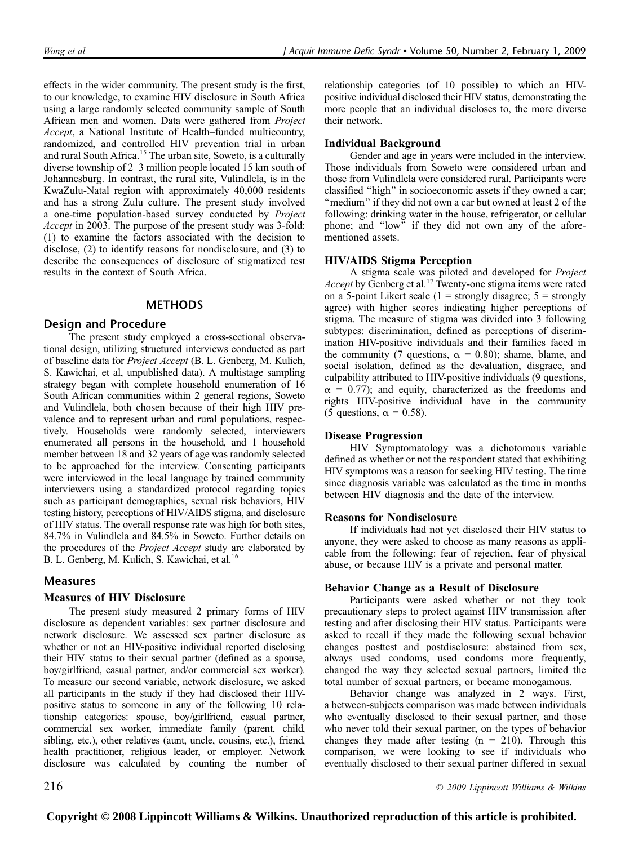effects in the wider community. The present study is the first, to our knowledge, to examine HIV disclosure in South Africa using a large randomly selected community sample of South African men and women. Data were gathered from Project Accept, a National Institute of Health–funded multicountry, randomized, and controlled HIV prevention trial in urban and rural South Africa.<sup>15</sup> The urban site, Soweto, is a culturally diverse township of 2–3 million people located 15 km south of Johannesburg. In contrast, the rural site, Vulindlela, is in the KwaZulu-Natal region with approximately 40,000 residents and has a strong Zulu culture. The present study involved a one-time population-based survey conducted by Project Accept in 2003. The purpose of the present study was 3-fold: (1) to examine the factors associated with the decision to disclose, (2) to identify reasons for nondisclosure, and (3) to describe the consequences of disclosure of stigmatized test results in the context of South Africa.

## **METHODS**

## Design and Procedure

The present study employed a cross-sectional observational design, utilizing structured interviews conducted as part of baseline data for Project Accept (B. L. Genberg, M. Kulich, S. Kawichai, et al, unpublished data). A multistage sampling strategy began with complete household enumeration of 16 South African communities within 2 general regions, Soweto and Vulindlela, both chosen because of their high HIV prevalence and to represent urban and rural populations, respectively. Households were randomly selected, interviewers enumerated all persons in the household, and 1 household member between 18 and 32 years of age was randomly selected to be approached for the interview. Consenting participants were interviewed in the local language by trained community interviewers using a standardized protocol regarding topics such as participant demographics, sexual risk behaviors, HIV testing history, perceptions of HIV/AIDS stigma, and disclosure of HIV status. The overall response rate was high for both sites, 84.7% in Vulindlela and 84.5% in Soweto. Further details on the procedures of the Project Accept study are elaborated by B. L. Genberg, M. Kulich, S. Kawichai, et al.<sup>16</sup>

## Measures

#### Measures of HIV Disclosure

The present study measured 2 primary forms of HIV disclosure as dependent variables: sex partner disclosure and network disclosure. We assessed sex partner disclosure as whether or not an HIV-positive individual reported disclosing their HIV status to their sexual partner (defined as a spouse, boy/girlfriend, casual partner, and/or commercial sex worker). To measure our second variable, network disclosure, we asked all participants in the study if they had disclosed their HIVpositive status to someone in any of the following 10 relationship categories: spouse, boy/girlfriend, casual partner, commercial sex worker, immediate family (parent, child, sibling, etc.), other relatives (aunt, uncle, cousins, etc.), friend, health practitioner, religious leader, or employer. Network disclosure was calculated by counting the number of

relationship categories (of 10 possible) to which an HIVpositive individual disclosed their HIV status, demonstrating the more people that an individual discloses to, the more diverse their network.

## Individual Background

Gender and age in years were included in the interview. Those individuals from Soweto were considered urban and those from Vulindlela were considered rural. Participants were classified ''high'' in socioeconomic assets if they owned a car; "medium" if they did not own a car but owned at least 2 of the following: drinking water in the house, refrigerator, or cellular phone; and ''low'' if they did not own any of the aforementioned assets.

## HIV/AIDS Stigma Perception

A stigma scale was piloted and developed for Project *Accept* by Genberg et al.<sup>17</sup> Twenty-one stigma items were rated on a 5-point Likert scale ( $1 =$  strongly disagree;  $5 =$  strongly agree) with higher scores indicating higher perceptions of stigma. The measure of stigma was divided into 3 following subtypes: discrimination, defined as perceptions of discrimination HIV-positive individuals and their families faced in the community (7 questions,  $\alpha = 0.80$ ); shame, blame, and social isolation, defined as the devaluation, disgrace, and culpability attributed to HIV-positive individuals (9 questions,  $\alpha$  = 0.77); and equity, characterized as the freedoms and rights HIV-positive individual have in the community (5 questions,  $\alpha = 0.58$ ).

## Disease Progression

HIV Symptomatology was a dichotomous variable defined as whether or not the respondent stated that exhibiting HIV symptoms was a reason for seeking HIV testing. The time since diagnosis variable was calculated as the time in months between HIV diagnosis and the date of the interview.

#### Reasons for Nondisclosure

If individuals had not yet disclosed their HIV status to anyone, they were asked to choose as many reasons as applicable from the following: fear of rejection, fear of physical abuse, or because HIV is a private and personal matter.

#### Behavior Change as a Result of Disclosure

Participants were asked whether or not they took precautionary steps to protect against HIV transmission after testing and after disclosing their HIV status. Participants were asked to recall if they made the following sexual behavior changes posttest and postdisclosure: abstained from sex, always used condoms, used condoms more frequently, changed the way they selected sexual partners, limited the total number of sexual partners, or became monogamous.

Behavior change was analyzed in 2 ways. First, a between-subjects comparison was made between individuals who eventually disclosed to their sexual partner, and those who never told their sexual partner, on the types of behavior changes they made after testing  $(n = 210)$ . Through this comparison, we were looking to see if individuals who eventually disclosed to their sexual partner differed in sexual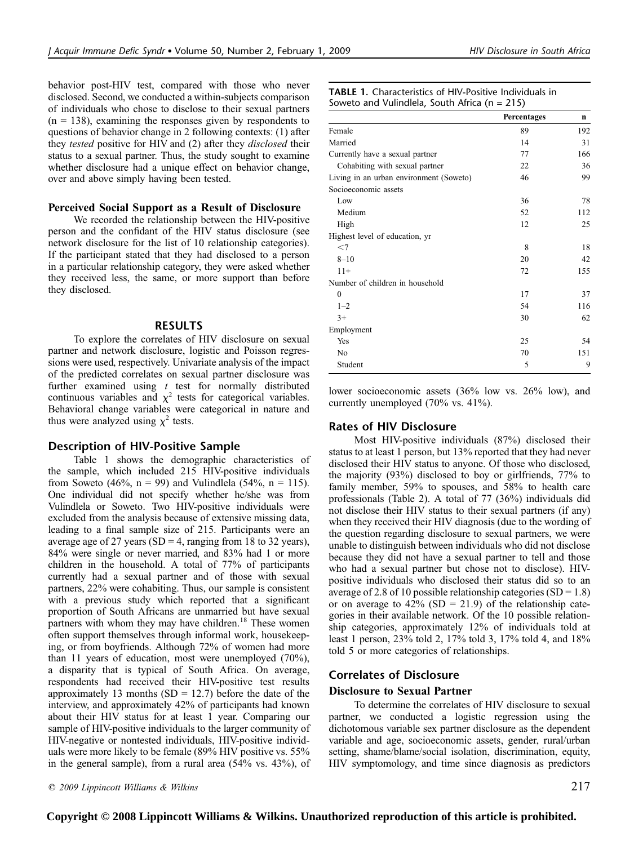behavior post-HIV test, compared with those who never disclosed. Second, we conducted a within-subjects comparison of individuals who chose to disclose to their sexual partners  $(n = 138)$ , examining the responses given by respondents to questions of behavior change in 2 following contexts: (1) after they *tested* positive for HIV and (2) after they *disclosed* their status to a sexual partner. Thus, the study sought to examine whether disclosure had a unique effect on behavior change, over and above simply having been tested.

#### Perceived Social Support as a Result of Disclosure

We recorded the relationship between the HIV-positive person and the confidant of the HIV status disclosure (see network disclosure for the list of 10 relationship categories). If the participant stated that they had disclosed to a person in a particular relationship category, they were asked whether they received less, the same, or more support than before they disclosed.

## RESULTS

To explore the correlates of HIV disclosure on sexual partner and network disclosure, logistic and Poisson regressions were used, respectively. Univariate analysis of the impact of the predicted correlates on sexual partner disclosure was further examined using  $t$  test for normally distributed continuous variables and  $\chi^2$  tests for categorical variables. Behavioral change variables were categorical in nature and thus were analyzed using  $\chi^2$  tests.

## Description of HIV-Positive Sample

Table 1 shows the demographic characteristics of the sample, which included 215 HIV-positive individuals from Soweto (46%,  $n = 99$ ) and Vulindlela (54%,  $n = 115$ ). One individual did not specify whether he/she was from Vulindlela or Soweto. Two HIV-positive individuals were excluded from the analysis because of extensive missing data, leading to a final sample size of 215. Participants were an average age of 27 years (SD = 4, ranging from 18 to 32 years), 84% were single or never married, and 83% had 1 or more children in the household. A total of 77% of participants currently had a sexual partner and of those with sexual partners, 22% were cohabiting. Thus, our sample is consistent with a previous study which reported that a significant proportion of South Africans are unmarried but have sexual partners with whom they may have children.<sup>18</sup> These women often support themselves through informal work, housekeeping, or from boyfriends. Although 72% of women had more than 11 years of education, most were unemployed (70%), a disparity that is typical of South Africa. On average, respondents had received their HIV-positive test results approximately 13 months  $(SD = 12.7)$  before the date of the interview, and approximately 42% of participants had known about their HIV status for at least 1 year. Comparing our sample of HIV-positive individuals to the larger community of HIV-negative or nontested individuals, HIV-positive individuals were more likely to be female (89% HIV positive vs. 55% in the general sample), from a rural area (54% vs. 43%), of

|  | <b>TABLE 1.</b> Characteristics of HIV-Positive Individuals in |  |  |  |
|--|----------------------------------------------------------------|--|--|--|
|  | Soweto and Vulindlela, South Africa ( $n = 215$ )              |  |  |  |

|                                         | Percentages | n   |
|-----------------------------------------|-------------|-----|
| Female                                  | 89          | 192 |
| Married                                 | 14          | 31  |
| Currently have a sexual partner         | 77          | 166 |
| Cohabiting with sexual partner          | 22          | 36  |
| Living in an urban environment (Soweto) | 46          | 99  |
| Socioeconomic assets                    |             |     |
| Low                                     | 36          | 78  |
| Medium                                  | 52          | 112 |
| High                                    | 12          | 25  |
| Highest level of education, yr          |             |     |
| $<$ 7                                   | 8           | 18  |
| $8 - 10$                                | 20          | 42  |
| $11+$                                   | 72          | 155 |
| Number of children in household         |             |     |
| $\mathbf{0}$                            | 17          | 37  |
| $1 - 2$                                 | 54          | 116 |
| $3+$                                    | 30          | 62  |
| Employment                              |             |     |
| Yes                                     | 25          | 54  |
| No                                      | 70          | 151 |
| Student                                 | 5           | 9   |

lower socioeconomic assets (36% low vs. 26% low), and currently unemployed (70% vs. 41%).

## Rates of HIV Disclosure

Most HIV-positive individuals (87%) disclosed their status to at least 1 person, but 13% reported that they had never disclosed their HIV status to anyone. Of those who disclosed, the majority (93%) disclosed to boy or girlfriends, 77% to family member, 59% to spouses, and 58% to health care professionals (Table 2). A total of 77 (36%) individuals did not disclose their HIV status to their sexual partners (if any) when they received their HIV diagnosis (due to the wording of the question regarding disclosure to sexual partners, we were unable to distinguish between individuals who did not disclose because they did not have a sexual partner to tell and those who had a sexual partner but chose not to disclose). HIVpositive individuals who disclosed their status did so to an average of 2.8 of 10 possible relationship categories  $(SD = 1.8)$ or on average to  $42\%$  (SD = 21.9) of the relationship categories in their available network. Of the 10 possible relationship categories, approximately 12% of individuals told at least 1 person, 23% told 2, 17% told 3, 17% told 4, and 18% told 5 or more categories of relationships.

## Correlates of Disclosure

#### Disclosure to Sexual Partner

To determine the correlates of HIV disclosure to sexual partner, we conducted a logistic regression using the dichotomous variable sex partner disclosure as the dependent variable and age, socioeconomic assets, gender, rural/urban setting, shame/blame/social isolation, discrimination, equity, HIV symptomology, and time since diagnosis as predictors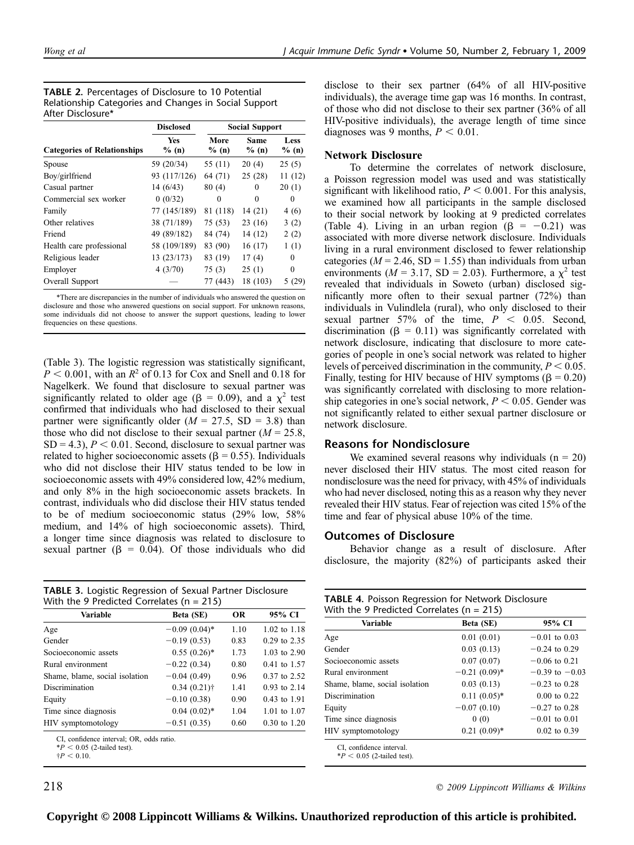TABLE 2. Percentages of Disclosure to 10 Potential Relationship Categories and Changes in Social Support After Disclosure\*

|                                    | <b>Disclosed</b>    | <b>Social Support</b> |                      |               |  |
|------------------------------------|---------------------|-----------------------|----------------------|---------------|--|
| <b>Categories of Relationships</b> | <b>Yes</b><br>% (n) | More<br>% (n)         | <b>Same</b><br>% (n) | Less<br>% (n) |  |
| Spouse                             | 59 (20/34)          | 55 (11)               | 20(4)                | 25(5)         |  |
| Boy/girlfriend                     | 93 (117/126)        | 64 (71)               | 25(28)               | 11(12)        |  |
| Casual partner                     | 14(6/43)            | 80(4)                 | 0                    | 20(1)         |  |
| Commercial sex worker              | 0(0/32)             | 0                     | $\Omega$             | 0             |  |
| Family                             | 77 (145/189)        | 81 (118)              | 14(21)               | 4(6)          |  |
| Other relatives                    | 38 (71/189)         | 75 (53)               | 23(16)               | 3(2)          |  |
| Friend                             | 49 (89/182)         | 84 (74)               | 14 (12)              | 2(2)          |  |
| Health care professional           | 58 (109/189)        | 83 (90)               | 16(17)               | 1(1)          |  |
| Religious leader                   | 13 (23/173)         | 83 (19)               | 17(4)                | 0             |  |
| Employer                           | 4(3/70)             | 75 (3)                | 25(1)                | $\theta$      |  |
| Overall Support                    |                     | 77 (443)              | 18 (103)             | 5 (29)        |  |

\*There are discrepancies in the number of individuals who answered the question on disclosure and those who answered questions on social support. For unknown reasons, some individuals did not choose to answer the support questions, leading to lower frequencies on these questions.

(Table 3). The logistic regression was statistically significant,  $P < 0.001$ , with an  $R^2$  of 0.13 for Cox and Snell and 0.18 for Nagelkerk. We found that disclosure to sexual partner was significantly related to older age ( $\beta = 0.09$ ), and a  $\chi^2$  test confirmed that individuals who had disclosed to their sexual partner were significantly older ( $M = 27.5$ , SD = 3.8) than those who did not disclose to their sexual partner  $(M = 25.8,$  $SD = 4.3$ ,  $P < 0.01$ . Second, disclosure to sexual partner was related to higher socioeconomic assets ( $\beta$  = 0.55). Individuals who did not disclose their HIV status tended to be low in socioeconomic assets with 49% considered low, 42% medium, and only 8% in the high socioeconomic assets brackets. In contrast, individuals who did disclose their HIV status tended to be of medium socioeconomic status (29% low, 58% medium, and 14% of high socioeconomic assets). Third, a longer time since diagnosis was related to disclosure to sexual partner ( $\beta$  = 0.04). Of those individuals who did

| <b>TABLE 3.</b> Logistic Regression of Sexual Partner Disclosure |
|------------------------------------------------------------------|
| With the 9 Predicted Correlates ( $n = 215$ )                    |

| <b>Variable</b>                | Beta (SE)       | <b>OR</b> | 95% CI                  |
|--------------------------------|-----------------|-----------|-------------------------|
| Age                            | $-0.09(0.04)$ * | 1.10      | $1.02 \text{ to } 1.18$ |
| Gender                         | $-0.19(0.53)$   | 0.83      | 0.29 to 2.35            |
| Socioeconomic assets           | $0.55(0.26)$ *  | 1.73      | $1.03$ to $2.90$        |
| Rural environment              | $-0.22(0.34)$   | 0.80      | $0.41$ to $1.57$        |
| Shame, blame, social isolation | $-0.04(0.49)$   | 0.96      | $0.37$ to $2.52$        |
| Discrimination                 | $0.34(0.21)$ †  | 1.41      | $0.93$ to $2.14$        |
| Equity                         | $-0.10(0.38)$   | 0.90      | $0.43$ to 1.91          |
| Time since diagnosis           | $0.04(0.02)*$   | 1.04      | 1.01 to 1.07            |
| HIV symptomotology             | $-0.51(0.35)$   | 0.60      | $0.30 \text{ to } 1.20$ |
|                                |                 |           |                         |

CI, confidence interval; OR, odds ratio.

 $*P < 0.05$  (2-tailed test).  $\frac{1}{2}P < 0.10$ 

disclose to their sex partner (64% of all HIV-positive individuals), the average time gap was 16 months. In contrast, of those who did not disclose to their sex partner (36% of all HIV-positive individuals), the average length of time since diagnoses was 9 months,  $P < 0.01$ .

#### Network Disclosure

To determine the correlates of network disclosure, a Poisson regression model was used and was statistically significant with likelihood ratio,  $P \leq 0.001$ . For this analysis, we examined how all participants in the sample disclosed to their social network by looking at 9 predicted correlates (Table 4). Living in an urban region ( $\beta = -0.21$ ) was associated with more diverse network disclosure. Individuals living in a rural environment disclosed to fewer relationship categories ( $M = 2.46$ , SD = 1.55) than individuals from urban environments ( $M = 3.17$ , SD = 2.03). Furthermore, a  $\chi^2$  test revealed that individuals in Soweto (urban) disclosed significantly more often to their sexual partner (72%) than individuals in Vulindlela (rural), who only disclosed to their sexual partner 57% of the time,  $P < 0.05$ . Second, discrimination ( $\beta = 0.11$ ) was significantly correlated with network disclosure, indicating that disclosure to more categories of people in one's social network was related to higher levels of perceived discrimination in the community,  $P < 0.05$ . Finally, testing for HIV because of HIV symptoms ( $\beta$  = 0.20) was significantly correlated with disclosing to more relationship categories in one's social network,  $P < 0.05$ . Gender was not significantly related to either sexual partner disclosure or network disclosure.

## Reasons for Nondisclosure

We examined several reasons why individuals  $(n = 20)$ never disclosed their HIV status. The most cited reason for nondisclosure was the need for privacy, with 45% of individuals who had never disclosed, noting this as a reason why they never revealed their HIV status. Fear of rejection was cited 15% of the time and fear of physical abuse 10% of the time.

## Outcomes of Disclosure

Behavior change as a result of disclosure. After disclosure, the majority (82%) of participants asked their

| Variable                       | Beta (SE)       | 95% CI                  |  |
|--------------------------------|-----------------|-------------------------|--|
| Age                            | 0.01(0.01)      | $-0.01$ to 0.03         |  |
| Gender                         | 0.03(0.13)      | $-0.24$ to 0.29         |  |
| Socioeconomic assets           | 0.07(0.07)      | $-0.06$ to 0.21         |  |
| Rural environment              | $-0.21(0.09)$ * | $-0.39$ to $-0.03$      |  |
| Shame, blame, social isolation | 0.03(0.13)      | $-0.23$ to 0.28         |  |
| Discrimination                 | $0.11(0.05)^*$  | $0.00 \text{ to } 0.22$ |  |
| Equity                         | $-0.07(0.10)$   | $-0.27$ to 0.28         |  |
| Time since diagnosis           | 0(0)            | $-0.01$ to 0.01         |  |
| HIV symptomotology             | $0.21(0.09)*$   | $0.02 \text{ to } 0.39$ |  |

**218 C** 2009 Lippincott Williams & Wilkins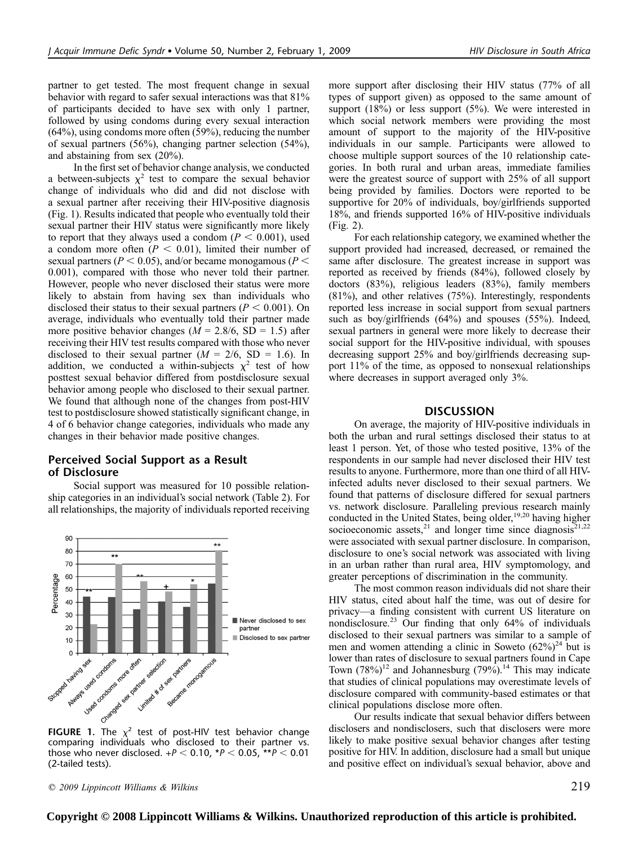partner to get tested. The most frequent change in sexual behavior with regard to safer sexual interactions was that 81% of participants decided to have sex with only 1 partner, followed by using condoms during every sexual interaction (64%), using condoms more often (59%), reducing the number of sexual partners (56%), changing partner selection (54%), and abstaining from sex (20%).

In the first set of behavior change analysis, we conducted a between-subjects  $\chi^2$  test to compare the sexual behavior change of individuals who did and did not disclose with a sexual partner after receiving their HIV-positive diagnosis (Fig. 1). Results indicated that people who eventually told their sexual partner their HIV status were significantly more likely to report that they always used a condom ( $P < 0.001$ ), used a condom more often  $(P < 0.01)$ , limited their number of sexual partners ( $P < 0.05$ ), and/or became monogamous ( $P <$ 0.001), compared with those who never told their partner. However, people who never disclosed their status were more likely to abstain from having sex than individuals who disclosed their status to their sexual partners ( $P < 0.001$ ). On average, individuals who eventually told their partner made more positive behavior changes ( $M = 2.8/6$ , SD = 1.5) after receiving their HIV test results compared with those who never disclosed to their sexual partner  $(M = 2/6, SD = 1.6)$ . In addition, we conducted a within-subjects  $\chi^2$  test of how posttest sexual behavior differed from postdisclosure sexual behavior among people who disclosed to their sexual partner. We found that although none of the changes from post-HIV test to postdisclosure showed statistically significant change, in 4 of 6 behavior change categories, individuals who made any changes in their behavior made positive changes.

# Perceived Social Support as a Result of Disclosure

Social support was measured for 10 possible relationship categories in an individual's social network (Table 2). For all relationships, the majority of individuals reported receiving



comparing individuals who disclosed to their partner vs. those who never disclosed.  $+P < 0.10$ , \*P  $< 0.05$ , \*\*P  $< 0.01$ (2-tailed tests).

 $\degree$  2009 Lippincott Williams & Wilkins 219

more support after disclosing their HIV status (77% of all types of support given) as opposed to the same amount of support  $(18\%)$  or less support  $(5\%)$ . We were interested in which social network members were providing the most amount of support to the majority of the HIV-positive individuals in our sample. Participants were allowed to choose multiple support sources of the 10 relationship categories. In both rural and urban areas, immediate families were the greatest source of support with 25% of all support being provided by families. Doctors were reported to be supportive for 20% of individuals, boy/girlfriends supported 18%, and friends supported 16% of HIV-positive individuals (Fig. 2).

For each relationship category, we examined whether the support provided had increased, decreased, or remained the same after disclosure. The greatest increase in support was reported as received by friends (84%), followed closely by doctors (83%), religious leaders (83%), family members (81%), and other relatives (75%). Interestingly, respondents reported less increase in social support from sexual partners such as boy/girlfriends (64%) and spouses (55%). Indeed, sexual partners in general were more likely to decrease their social support for the HIV-positive individual, with spouses decreasing support 25% and boy/girlfriends decreasing support 11% of the time, as opposed to nonsexual relationships where decreases in support averaged only 3%.

## **DISCUSSION**

On average, the majority of HIV-positive individuals in both the urban and rural settings disclosed their status to at least 1 person. Yet, of those who tested positive, 13% of the respondents in our sample had never disclosed their HIV test results to anyone. Furthermore, more than one third of all HIVinfected adults never disclosed to their sexual partners. We found that patterns of disclosure differed for sexual partners vs. network disclosure. Paralleling previous research mainly conducted in the United States, being older,<sup>19,20</sup> having higher socioeconomic assets,<sup>21</sup> and longer time since diagnosis<sup>21,22</sup> were associated with sexual partner disclosure. In comparison, disclosure to one's social network was associated with living in an urban rather than rural area, HIV symptomology, and greater perceptions of discrimination in the community.

The most common reason individuals did not share their HIV status, cited about half the time, was out of desire for privacy—a finding consistent with current US literature on nondisclosure.<sup>23</sup> Our finding that only 64% of individuals disclosed to their sexual partners was similar to a sample of men and women attending a clinic in Soweto  $(62\%)^{24}$  but is lower than rates of disclosure to sexual partners found in Cape Town  $(78%)^{12}$  and Johannesburg  $(79%)^{14}$  This may indicate that studies of clinical populations may overestimate levels of disclosure compared with community-based estimates or that clinical populations disclose more often.

Our results indicate that sexual behavior differs between disclosers and nondisclosers, such that disclosers were more likely to make positive sexual behavior changes after testing positive for HIV. In addition, disclosure had a small but unique and positive effect on individual's sexual behavior, above and

**Copyright © 2008 Lippincott Williams & Wilkins. Unauthorized reproduction of this article is prohibited.**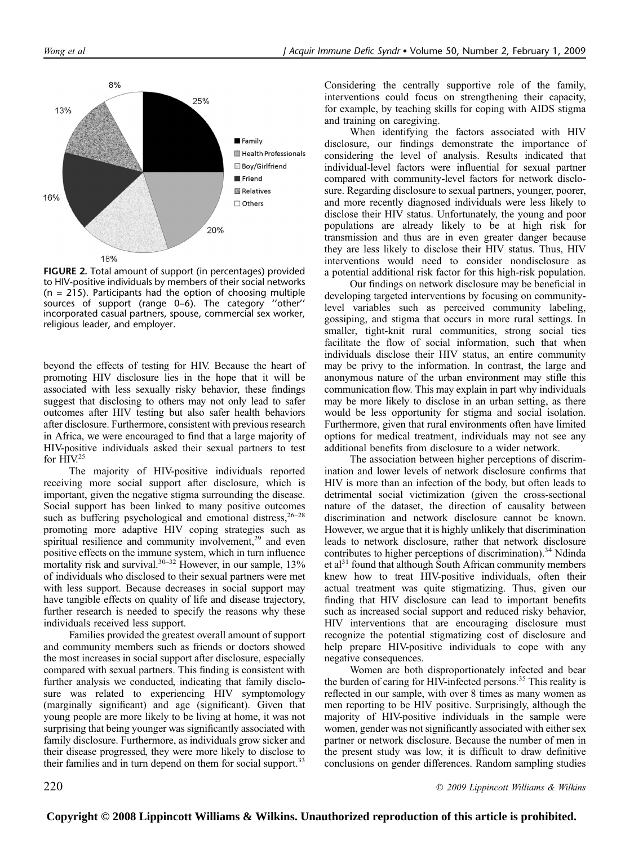

FIGURE 2. Total amount of support (in percentages) provided to HIV-positive individuals by members of their social networks  $(n = 215)$ . Participants had the option of choosing multiple sources of support (range 0–6). The category ''other'' incorporated casual partners, spouse, commercial sex worker, religious leader, and employer.

beyond the effects of testing for HIV. Because the heart of promoting HIV disclosure lies in the hope that it will be associated with less sexually risky behavior, these findings suggest that disclosing to others may not only lead to safer outcomes after HIV testing but also safer health behaviors after disclosure. Furthermore, consistent with previous research in Africa, we were encouraged to find that a large majority of HIV-positive individuals asked their sexual partners to test for HIV.<sup>25</sup>

The majority of HIV-positive individuals reported receiving more social support after disclosure, which is important, given the negative stigma surrounding the disease. Social support has been linked to many positive outcomes such as buffering psychological and emotional distress,  $26-28$ promoting more adaptive HIV coping strategies such as spiritual resilience and community involvement,<sup>29</sup> and even positive effects on the immune system, which in turn influence mortality risk and survival.<sup>30–32</sup> However, in our sample, 13% of individuals who disclosed to their sexual partners were met with less support. Because decreases in social support may have tangible effects on quality of life and disease trajectory, further research is needed to specify the reasons why these individuals received less support.

Families provided the greatest overall amount of support and community members such as friends or doctors showed the most increases in social support after disclosure, especially compared with sexual partners. This finding is consistent with further analysis we conducted, indicating that family disclosure was related to experiencing HIV symptomology (marginally significant) and age (significant). Given that young people are more likely to be living at home, it was not surprising that being younger was significantly associated with family disclosure. Furthermore, as individuals grow sicker and their disease progressed, they were more likely to disclose to their families and in turn depend on them for social support.<sup>33</sup>

Considering the centrally supportive role of the family, interventions could focus on strengthening their capacity, for example, by teaching skills for coping with AIDS stigma and training on caregiving.

When identifying the factors associated with HIV disclosure, our findings demonstrate the importance of considering the level of analysis. Results indicated that individual-level factors were influential for sexual partner compared with community-level factors for network disclosure. Regarding disclosure to sexual partners, younger, poorer, and more recently diagnosed individuals were less likely to disclose their HIV status. Unfortunately, the young and poor populations are already likely to be at high risk for transmission and thus are in even greater danger because they are less likely to disclose their HIV status. Thus, HIV interventions would need to consider nondisclosure as a potential additional risk factor for this high-risk population.

Our findings on network disclosure may be beneficial in developing targeted interventions by focusing on communitylevel variables such as perceived community labeling, gossiping, and stigma that occurs in more rural settings. In smaller, tight-knit rural communities, strong social ties facilitate the flow of social information, such that when individuals disclose their HIV status, an entire community may be privy to the information. In contrast, the large and anonymous nature of the urban environment may stifle this communication flow. This may explain in part why individuals may be more likely to disclose in an urban setting, as there would be less opportunity for stigma and social isolation. Furthermore, given that rural environments often have limited options for medical treatment, individuals may not see any additional benefits from disclosure to a wider network.

The association between higher perceptions of discrimination and lower levels of network disclosure confirms that HIV is more than an infection of the body, but often leads to detrimental social victimization (given the cross-sectional nature of the dataset, the direction of causality between discrimination and network disclosure cannot be known. However, we argue that it is highly unlikely that discrimination leads to network disclosure, rather that network disclosure contributes to higher perceptions of discrimination).<sup>34</sup> Ndinda et al $31$  found that although South African community members knew how to treat HIV-positive individuals, often their actual treatment was quite stigmatizing. Thus, given our finding that HIV disclosure can lead to important benefits such as increased social support and reduced risky behavior, HIV interventions that are encouraging disclosure must recognize the potential stigmatizing cost of disclosure and help prepare HIV-positive individuals to cope with any negative consequences.

Women are both disproportionately infected and bear the burden of caring for HIV-infected persons.<sup>35</sup> This reality is reflected in our sample, with over 8 times as many women as men reporting to be HIV positive. Surprisingly, although the majority of HIV-positive individuals in the sample were women, gender was not significantly associated with either sex partner or network disclosure. Because the number of men in the present study was low, it is difficult to draw definitive conclusions on gender differences. Random sampling studies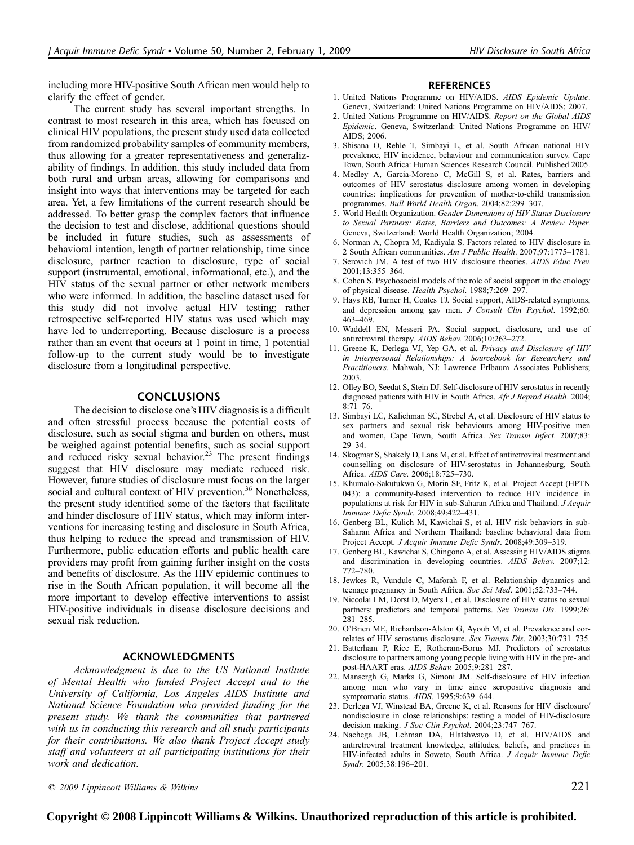including more HIV-positive South African men would help to clarify the effect of gender.

The current study has several important strengths. In contrast to most research in this area, which has focused on clinical HIV populations, the present study used data collected from randomized probability samples of community members, thus allowing for a greater representativeness and generalizability of findings. In addition, this study included data from both rural and urban areas, allowing for comparisons and insight into ways that interventions may be targeted for each area. Yet, a few limitations of the current research should be addressed. To better grasp the complex factors that influence the decision to test and disclose, additional questions should be included in future studies, such as assessments of behavioral intention, length of partner relationship, time since disclosure, partner reaction to disclosure, type of social support (instrumental, emotional, informational, etc.), and the HIV status of the sexual partner or other network members who were informed. In addition, the baseline dataset used for this study did not involve actual HIV testing; rather retrospective self-reported HIV status was used which may have led to underreporting. Because disclosure is a process rather than an event that occurs at 1 point in time, 1 potential follow-up to the current study would be to investigate disclosure from a longitudinal perspective.

## **CONCLUSIONS**

The decision to disclose one's HIV diagnosis is a difficult and often stressful process because the potential costs of disclosure, such as social stigma and burden on others, must be weighed against potential benefits, such as social support and reduced risky sexual behavior.<sup>23</sup> The present findings suggest that HIV disclosure may mediate reduced risk. However, future studies of disclosure must focus on the larger social and cultural context of HIV prevention.<sup>36</sup> Nonetheless, the present study identified some of the factors that facilitate and hinder disclosure of HIV status, which may inform interventions for increasing testing and disclosure in South Africa, thus helping to reduce the spread and transmission of HIV. Furthermore, public education efforts and public health care providers may profit from gaining further insight on the costs and benefits of disclosure. As the HIV epidemic continues to rise in the South African population, it will become all the more important to develop effective interventions to assist HIV-positive individuals in disease disclosure decisions and sexual risk reduction.

## ACKNOWLEDGMENTS

Acknowledgment is due to the US National Institute of Mental Health who funded Project Accept and to the University of California, Los Angeles AIDS Institute and National Science Foundation who provided funding for the present study. We thank the communities that partnered with us in conducting this research and all study participants for their contributions. We also thank Project Accept study staff and volunteers at all participating institutions for their work and dedication.

#### **REFERENCES**

- 1. United Nations Programme on HIV/AIDS. AIDS Epidemic Update. Geneva, Switzerland: United Nations Programme on HIV/AIDS; 2007.
- 2. United Nations Programme on HIV/AIDS. Report on the Global AIDS Epidemic. Geneva, Switzerland: United Nations Programme on HIV/ AIDS; 2006.
- 3. Shisana O, Rehle T, Simbayi L, et al. South African national HIV prevalence, HIV incidence, behaviour and communication survey. Cape Town, South Africa: Human Sciences Research Council. Published 2005.
- 4. Medley A, Garcia-Moreno C, McGill S, et al. Rates, barriers and outcomes of HIV serostatus disclosure among women in developing countries: implications for prevention of mother-to-child transmission programmes. Bull World Health Organ. 2004;82:299–307.
- 5. World Health Organization. Gender Dimensions of HIV Status Disclosure to Sexual Partners: Rates, Barriers and Outcomes: A Review Paper. Geneva, Switzerland: World Health Organization; 2004.
- 6. Norman A, Chopra M, Kadiyala S. Factors related to HIV disclosure in 2 South African communities. Am J Public Health. 2007;97:1775–1781.
- 7. Serovich JM. A test of two HIV disclosure theories. AIDS Educ Prev. 2001;13:355–364.
- 8. Cohen S. Psychosocial models of the role of social support in the etiology of physical disease. Health Psychol. 1988;7:269–297.
- Hays RB, Turner H, Coates TJ. Social support, AIDS-related symptoms, and depression among gay men. J Consult Clin Psychol. 1992;60: 463–469.
- 10. Waddell EN, Messeri PA. Social support, disclosure, and use of antiretroviral therapy. AIDS Behav. 2006;10:263–272.
- 11. Greene K, Derlega VJ, Yep GA, et al. Privacy and Disclosure of HIV in Interpersonal Relationships: A Sourcebook for Researchers and Practitioners. Mahwah, NJ: Lawrence Erlbaum Associates Publishers; 2003.
- 12. Olley BO, Seedat S, Stein DJ. Self-disclosure of HIV serostatus in recently diagnosed patients with HIV in South Africa. Afr J Reprod Health. 2004; 8:71–76.
- 13. Simbayi LC, Kalichman SC, Strebel A, et al. Disclosure of HIV status to sex partners and sexual risk behaviours among HIV-positive men and women, Cape Town, South Africa. Sex Transm Infect. 2007;83: 29–34.
- 14. Skogmar S, Shakely D, Lans M, et al. Effect of antiretroviral treatment and counselling on disclosure of HIV-serostatus in Johannesburg, South Africa. AIDS Care. 2006;18:725–730.
- 15. Khumalo-Sakutukwa G, Morin SF, Fritz K, et al. Project Accept (HPTN 043): a community-based intervention to reduce HIV incidence in populations at risk for HIV in sub-Saharan Africa and Thailand. J Acquir Immune Defic Syndr. 2008;49:422–431.
- 16. Genberg BL, Kulich M, Kawichai S, et al. HIV risk behaviors in sub-Saharan Africa and Northern Thailand: baseline behavioral data from Project Accept. J Acquir Immune Defic Syndr. 2008;49:309–319.
- 17. Genberg BL, Kawichai S, Chingono A, et al. Assessing HIV/AIDS stigma and discrimination in developing countries. AIDS Behav. 2007;12: 772–780.
- 18. Jewkes R, Vundule C, Maforah F, et al. Relationship dynamics and teenage pregnancy in South Africa. Soc Sci Med. 2001;52:733–744.
- 19. Niccolai LM, Dorst D, Myers L, et al. Disclosure of HIV status to sexual partners: predictors and temporal patterns. Sex Transm Dis. 1999;26: 281–285.
- 20. O'Brien ME, Richardson-Alston G, Ayoub M, et al. Prevalence and correlates of HIV serostatus disclosure. Sex Transm Dis. 2003;30:731–735.
- 21. Batterham P, Rice E, Rotheram-Borus MJ. Predictors of serostatus disclosure to partners among young people living with HIV in the pre- and post-HAART eras. AIDS Behav. 2005;9:281–287.
- 22. Mansergh G, Marks G, Simoni JM. Self-disclosure of HIV infection among men who vary in time since seropositive diagnosis and symptomatic status. AIDS. 1995;9:639–644.
- 23. Derlega VJ, Winstead BA, Greene K, et al. Reasons for HIV disclosure/ nondisclosure in close relationships: testing a model of HIV-disclosure decision making. J Soc Clin Psychol. 2004;23:747-767.
- 24. Nachega JB, Lehman DA, Hlatshwayo D, et al. HIV/AIDS and antiretroviral treatment knowledge, attitudes, beliefs, and practices in HIV-infected adults in Soweto, South Africa. J Acquir Immune Defic Syndr. 2005;38:196–201.

 $\degree$  2009 Lippincott Williams & Wilkins 221